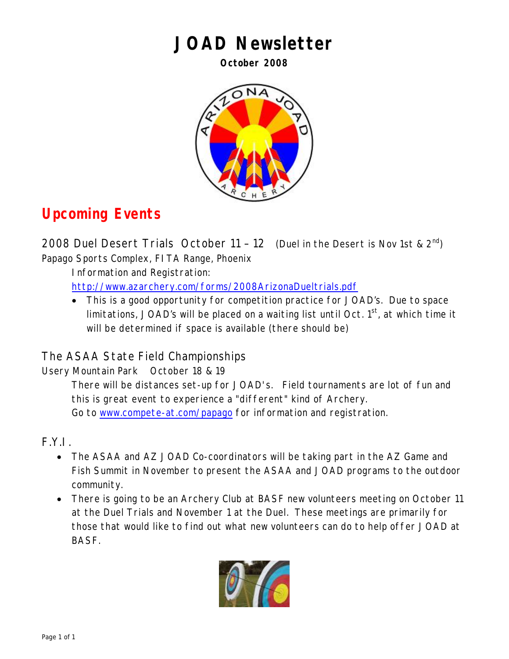# **JOAD Newsletter**

**October 2008** 



# **Upcoming Events**

2008 Duel Desert Trials October 11 – 12 (Duel in the Desert is Nov 1st &  $2^{nd}$ ) Papago Sports Complex, FITA Range, Phoenix

Information and Registration: <http://www.azarchery.com/forms/2008ArizonaDueltrials.pdf>

• This is a good opportunity for competition practice for JOAD's. Due to space limitations, JOAD's will be placed on a waiting list until Oct.  $1<sup>st</sup>$ , at which time it will be determined if space is available (there should be)

# The ASAA State Field Championships

Usery Mountain Park October 18 & 19

There will be distances set-up for JOAD's. Field tournaments are lot of fun and this is great event to experience a "different" kind of Archery. Go to [www.compete-at.com/papago](http://www.compete-at.com/papago) for information and registration.

F.Y.I.

- The ASAA and AZ JOAD Co-coordinators will be taking part in the AZ Game and Fish Summit in November to present the ASAA and JOAD programs to the outdoor community.
- There is going to be an Archery Club at BASF new volunteers meeting on October 11 at the Duel Trials and November 1 at the Duel. These meetings are primarily for those that would like to find out what new volunteers can do to help offer JOAD at BASF.

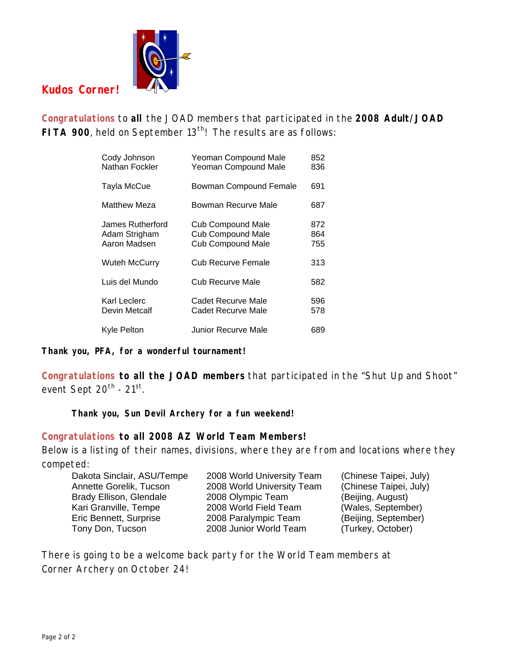

## **Kudos Corner!**

**Congratulations** to **all** the JOAD members that participated in the **2008 Adult/JOAD**  FITA 900, held on September 13<sup>th</sup>! The results are as follows:

| Cody Johnson<br>Nathan Fockler                    | Yeoman Compound Male<br><b>Yeoman Compound Male</b>                              | 852<br>836        |
|---------------------------------------------------|----------------------------------------------------------------------------------|-------------------|
| Tayla McCue                                       | <b>Bowman Compound Female</b>                                                    | 691               |
| Matthew Meza                                      | Bowman Recurve Male                                                              | 687               |
| James Rutherford<br>Adam Strigham<br>Aaron Madsen | <b>Cub Compound Male</b><br><b>Cub Compound Male</b><br><b>Cub Compound Male</b> | 872<br>864<br>755 |
| Wuteh McCurry                                     | Cub Recurve Female                                                               | 313               |
| Luis del Mundo                                    | Cub Recurve Male                                                                 | 582               |
| Karl Leclerc<br>Devin Metcalf                     | Cadet Recurve Male<br><b>Cadet Recurve Male</b>                                  | 596<br>578        |
| Kyle Pelton                                       | Junior Recurve Male                                                              | 689               |

**Thank you, PFA, for a wonderful tournament!** 

**Congratulations to all the JOAD members** that participated in the "Shut Up and Shoot" event Sept  $20^{th}$  -  $21^{st}$ .

**Thank you, Sun Devil Archery for a fun weekend!**

#### **Congratulations to all 2008 AZ World Team Members!**

Below is a listing of their names, divisions, where they are from and locations where they competed:

| Dakota Sinclair, ASU/Tempe     | 2008 World University Team | (Chinese Taipei, July) |
|--------------------------------|----------------------------|------------------------|
| Annette Gorelik, Tucson        | 2008 World University Team | (Chinese Taipei, July) |
| <b>Brady Ellison, Glendale</b> | 2008 Olympic Team          | (Beijing, August)      |
| Kari Granville, Tempe          | 2008 World Field Team      | (Wales, September)     |
| Eric Bennett, Surprise         | 2008 Paralympic Team       | (Beijing, September)   |
| Tony Don, Tucson               | 2008 Junior World Team     | (Turkey, October)      |

There is going to be a welcome back party for the World Team members at Corner Archery on October 24!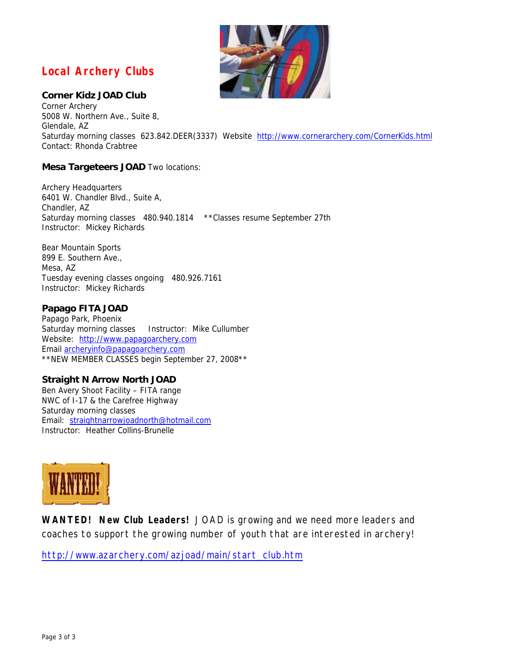### **Local Archery Clubs**

#### **Corner Kidz JOAD Club**

Corner Archery 5008 W. Northern Ave., Suite 8, Glendale, AZ Saturday morning classes 623.842.DEER(3337) Website <http://www.cornerarchery.com/CornerKids.html> Contact: Rhonda Crabtree

#### **Mesa Targeteers JOAD** Two locations:

Archery Headquarters 6401 W. Chandler Blvd., Suite A, Chandler, AZ Saturday morning classes 480.940.1814 \*\*Classes resume September 27th Instructor: Mickey Richards

Bear Mountain Sports 899 E. Southern Ave., Mesa, AZ Tuesday evening classes ongoing 480.926.7161 Instructor: Mickey Richards

#### **Papago FITA JOAD**

Papago Park, Phoenix Saturday morning classes Instructor: Mike Cullumber Website: [http://www.papagoarchery.com](http://www.papagoarchery.com/index2.html) Email [archeryinfo@papagoarchery.com](mailto:archeryinfo@papagoarchery.com)  \*\*NEW MEMBER CLASSES begin September 27, 2008\*\*

#### **Straight N Arrow North JOAD**

Ben Avery Shoot Facility – FITA range NWC of I-17 & the Carefree Highway Saturday morning classes Email: [straightnarrowjoadnorth@hotmail.com](mailto:straightnarrowjoadnorth@hotmail.com) Instructor: Heather Collins-Brunelle



**WANTED! New Club Leaders!** JOAD is growing and we need more leaders and coaches to support the growing number of youth that are interested in archery!

[http://www.azarchery.com/azjoad/main/start\\_club.htm](http://www.azarchery.com/azjoad/main/start_club.htm)